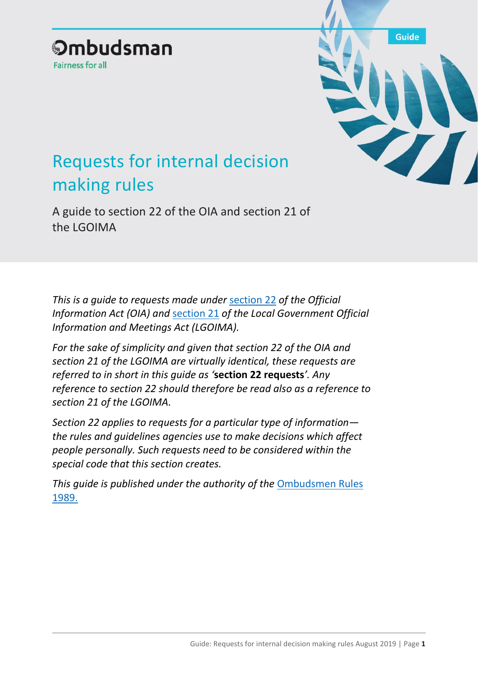## **Ombudsman Fairness for all**



# Requests for internal decision making rules

A guide to section 22 of the OIA and section 21 of the LGOIMA

*This is a guide to requests made under* [section 22](http://legislation.govt.nz/act/public/1982/0156/latest/DLM65622.html?search=ts_act%40bill%40regulation%40deemedreg_official+information_resel_25_a&p=1) *of the Official Information Act (OIA) and* [section 21](http://legislation.govt.nz/act/public/1987/0174/latest/DLM123016.html?search=ts_act%40bill%40regulation%40deemedreg_official+information_resel_25_a&p=1) *of the Local Government Official Information and Meetings Act (LGOIMA).* 

*For the sake of simplicity and given that section 22 of the OIA and section 21 of the LGOIMA are virtually identical, these requests are referred to in short in this guide as '***section 22 requests***'. Any reference to section 22 should therefore be read also as a reference to section 21 of the LGOIMA.*

*Section 22 applies to requests for a particular type of information the rules and guidelines agencies use to make decisions which affect people personally. Such requests need to be considered within the special code that this section creates.*

*This guide is published under the authority of the* [Ombudsmen Rules](http://legislation.govt.nz/regulation/public/1989/0064/latest/DLM129834.html?src=qs)  [1989.](http://legislation.govt.nz/regulation/public/1989/0064/latest/DLM129834.html?src=qs)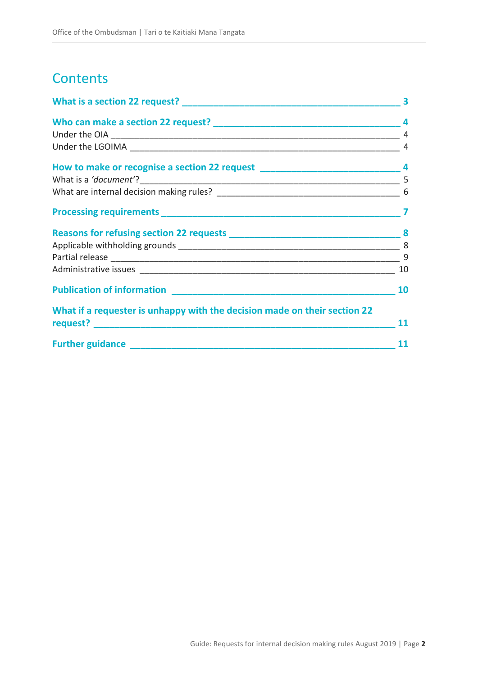# **Contents**

| What is a section 22 request?                                             | 3  |  |
|---------------------------------------------------------------------------|----|--|
|                                                                           | 4  |  |
|                                                                           | 4  |  |
|                                                                           |    |  |
|                                                                           |    |  |
|                                                                           |    |  |
|                                                                           |    |  |
|                                                                           |    |  |
|                                                                           |    |  |
|                                                                           |    |  |
|                                                                           |    |  |
|                                                                           | 10 |  |
|                                                                           | 10 |  |
| What if a requester is unhappy with the decision made on their section 22 | 11 |  |
|                                                                           | 11 |  |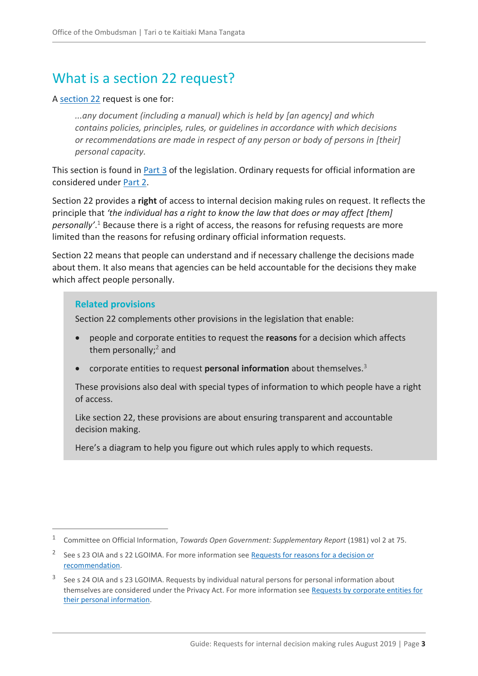# <span id="page-2-0"></span>What is a section 22 request?

#### A [section 22](http://legislation.govt.nz/act/public/1982/0156/latest/DLM65622.html?search=ts_act%40bill%40regulation%40deemedreg_official+information_resel_25_a&p=1) request is one for:

*...any document (including a manual) which is held by [an agency] and which contains policies, principles, rules, or guidelines in accordance with which decisions or recommendations are made in respect of any person or body of persons in [their] personal capacity.*

This section is found in **Part 3** of the legislation. Ordinary requests for official information are considered under [Part 2.](http://legislation.govt.nz/act/public/1982/0156/latest/DLM65381.html?search=ts_act%40bill%40regulation%40deemedreg_official+information_resel_25_a&p=1)

Section 22 provides a **right** of access to internal decision making rules on request. It reflects the principle that *'the individual has a right to know the law that does or may affect [them] personally'*. <sup>1</sup> Because there is a right of access, the reasons for refusing requests are more limited than the reasons for refusing ordinary official information requests.

Section 22 means that people can understand and if necessary challenge the decisions made about them. It also means that agencies can be held accountable for the decisions they make which affect people personally.

#### **Related provisions**

 $\overline{a}$ 

Section 22 complements other provisions in the legislation that enable:

- people and corporate entities to request the **reasons** for a decision which affects them personally; $^2$  and
- corporate entities to request **personal information** about themselves.<sup>3</sup>

These provisions also deal with special types of information to which people have a right of access.

Like section 22, these provisions are about ensuring transparent and accountable decision making.

Here's a diagram to help you figure out which rules apply to which requests.

<sup>1</sup> Committee on Official Information, *Towards Open Government: Supplementary Report* (1981) vol 2 at 75.

<sup>&</sup>lt;sup>2</sup> See s 23 OIA and s 22 LGOIMA. For more information see Requests for reasons for a decision or [recommendation.](https://ombudsman.parliament.nz/resources/requests-reasons-decision-or-recommendation-guide-section-23-oia-and-section-22-lgoima)

<sup>3</sup> See s 24 OIA and s 23 LGOIMA. Requests by individual natural persons for personal information about themselves are considered under the Privacy Act. For more information see Requests by corporate entities for [their personal information.](https://ombudsman.parliament.nz/resources/requests-corporate-entities-their-personal-information-guide-part-4-oia-and-lgoima)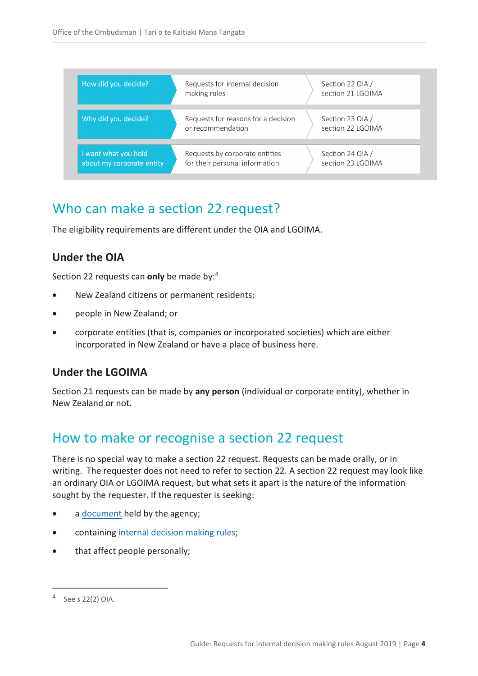| How did you decide?                               | Requests for internal decision<br>making rules                   | Section 22 OIA /<br>section 21 LGOIMA |
|---------------------------------------------------|------------------------------------------------------------------|---------------------------------------|
| Why did you decide?                               | Requests for reasons for a decision<br>or recommendation         | Section 23 OIA /<br>section 22 LGOIMA |
| I want what you hold<br>about my corporate entity | Requests by corporate entities<br>for their personal information | Section 24 OIA /<br>section 23 LGOIMA |

## <span id="page-3-0"></span>Who can make a section 22 request?

The eligibility requirements are different under the OIA and LGOIMA.

### <span id="page-3-1"></span>**Under the OIA**

Section 22 requests can **only** be made by:<sup>4</sup>

- New Zealand citizens or permanent residents;
- people in New Zealand; or
- corporate entities (that is, companies or incorporated societies) which are either incorporated in New Zealand or have a place of business here.

### <span id="page-3-2"></span>**Under the LGOIMA**

Section 21 requests can be made by **any person** (individual or corporate entity), whether in New Zealand or not.

### <span id="page-3-3"></span>How to make or recognise a section 22 request

There is no special way to make a section 22 request. Requests can be made orally, or in writing. The requester does not need to refer to section 22. A section 22 request may look like an ordinary OIA or LGOIMA request, but what sets it apart is the nature of the information sought by the requester. If the requester is seeking:

- a [document](#page-4-0) held by the agency;
- containing [internal decision making rules;](#page-5-0)
- that affect people personally;

 $4$  See s 22(2) OIA.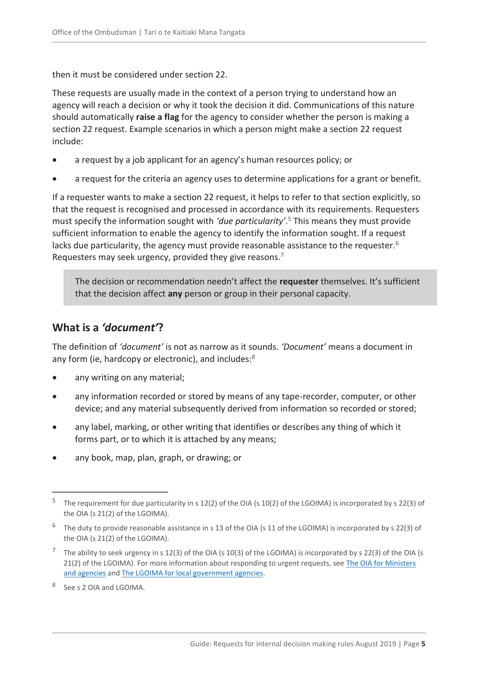then it must be considered under section 22.

These requests are usually made in the context of a person trying to understand how an agency will reach a decision or why it took the decision it did. Communications of this nature should automatically **raise a flag** for the agency to consider whether the person is making a section 22 request. Example scenarios in which a person might make a section 22 request include:

- a request by a job applicant for an agency's human resources policy; or
- a request for the criteria an agency uses to determine applications for a grant or benefit.

If a requester wants to make a section 22 request, it helps to refer to that section explicitly, so that the request is recognised and processed in accordance with its requirements. Requesters must specify the information sought with *'due particularity'*. <sup>5</sup> This means they must provide sufficient information to enable the agency to identify the information sought. If a request lacks due particularity, the agency must provide reasonable assistance to the requester.<sup>6</sup> Requesters may seek urgency, provided they give reasons.<sup>7</sup>

The decision or recommendation needn't affect the **requester** themselves. It's sufficient that the decision affect **any** person or group in their personal capacity.

### <span id="page-4-0"></span>**What is a** *'document'***?**

The definition of *'document'* is not as narrow as it sounds. *'Document'* means a document in any form (ie, hardcopy or electronic), and includes:<sup>8</sup>

- any writing on any material;
- any information recorded or stored by means of any tape-recorder, computer, or other device; and any material subsequently derived from information so recorded or stored;
- any label, marking, or other writing that identifies or describes any thing of which it forms part, or to which it is attached by any means;
- any book, map, plan, graph, or drawing; or

<sup>5</sup> The requirement for due particularity in s 12(2) of the OIA (s 10(2) of the LGOIMA) is incorporated by s 22(3) of the OIA (s 21(2) of the LGOIMA).

 $^6$  The duty to provide reasonable assistance in s 13 of the OIA (s 11 of the LGOIMA) is incorporated by s 22(3) of the OIA (s 21(2) of the LGOIMA).

<sup>&</sup>lt;sup>7</sup> The ability to seek urgency in s 12(3) of the OIA (s 10(3) of the LGOIMA) is incorporated by s 22(3) of the OIA (s 21(2) of the LGOIMA). For more information about responding to urgent requests, see [The OIA for Ministers](https://ombudsman.parliament.nz/resources/oia-ministers-and-agencies-guide-processing-official-information-requests)  [and agencies](https://ombudsman.parliament.nz/resources/oia-ministers-and-agencies-guide-processing-official-information-requests) and [The LGOIMA for local government agencies.](https://ombudsman.parliament.nz/resources/lgoima-local-government-agencies-guide-processing-requests-and-conducting-meetings)

<sup>8</sup> See s 2 OIA and LGOIMA.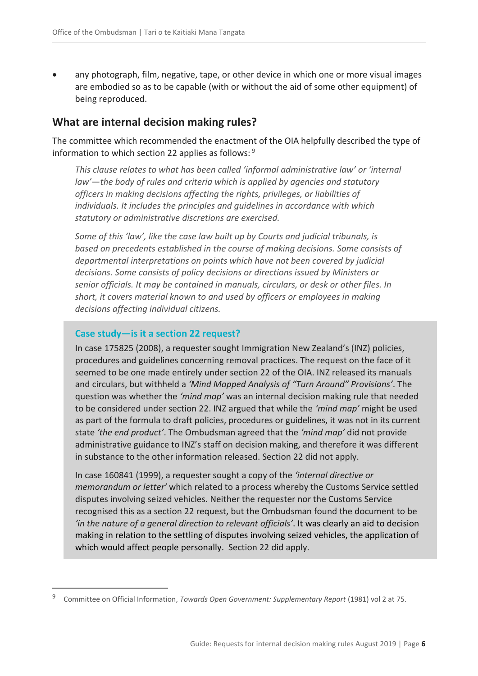any photograph, film, negative, tape, or other device in which one or more visual images are embodied so as to be capable (with or without the aid of some other equipment) of being reproduced.

#### <span id="page-5-0"></span>**What are internal decision making rules?**

The committee which recommended the enactment of the OIA helpfully described the type of information to which section 22 applies as follows: <sup>9</sup>

*This clause relates to what has been called 'informal administrative law' or 'internal law'—the body of rules and criteria which is applied by agencies and statutory officers in making decisions affecting the rights, privileges, or liabilities of individuals. It includes the principles and guidelines in accordance with which statutory or administrative discretions are exercised.* 

*Some of this 'law', like the case law built up by Courts and judicial tribunals, is based on precedents established in the course of making decisions. Some consists of departmental interpretations on points which have not been covered by judicial decisions. Some consists of policy decisions or directions issued by Ministers or senior officials. It may be contained in manuals, circulars, or desk or other files. In short, it covers material known to and used by officers or employees in making decisions affecting individual citizens.*

#### **Case study—is it a section 22 request?**

 $\overline{a}$ 

In case 175825 (2008), a requester sought Immigration New Zealand's (INZ) policies, procedures and guidelines concerning removal practices. The request on the face of it seemed to be one made entirely under section 22 of the OIA. INZ released its manuals and circulars, but withheld a *'Mind Mapped Analysis of "Turn Around" Provisions'*. The question was whether the *'mind map'* was an internal decision making rule that needed to be considered under section 22. INZ argued that while the *'mind map'* might be used as part of the formula to draft policies, procedures or guidelines, it was not in its current state *'the end product'*. The Ombudsman agreed that the *'mind map'* did not provide administrative guidance to INZ's staff on decision making, and therefore it was different in substance to the other information released. Section 22 did not apply.

In case 160841 (1999), a requester sought a copy of the *'internal directive or memorandum or letter'* which related to a process whereby the Customs Service settled disputes involving seized vehicles. Neither the requester nor the Customs Service recognised this as a section 22 request, but the Ombudsman found the document to be *'in the nature of a general direction to relevant officials'*. It was clearly an aid to decision making in relation to the settling of disputes involving seized vehicles, the application of which would affect people personally. Section 22 did apply.

<sup>9</sup> Committee on Official Information, *Towards Open Government: Supplementary Report* (1981) vol 2 at 75.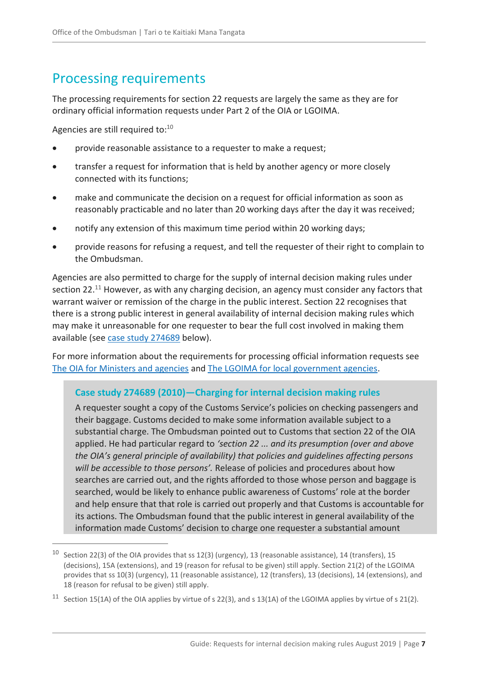## <span id="page-6-0"></span>Processing requirements

The processing requirements for section 22 requests are largely the same as they are for ordinary official information requests under Part 2 of the OIA or LGOIMA.

Agencies are still required to:<sup>10</sup>

 $\overline{a}$ 

- provide reasonable assistance to a requester to make a request;
- transfer a request for information that is held by another agency or more closely connected with its functions;
- make and communicate the decision on a request for official information as soon as reasonably practicable and no later than 20 working days after the day it was received;
- notify any extension of this maximum time period within 20 working days;
- provide reasons for refusing a request, and tell the requester of their right to complain to the Ombudsman.

Agencies are also permitted to charge for the supply of internal decision making rules under section 22.<sup>11</sup> However, as with any charging decision, an agency must consider any factors that warrant waiver or remission of the charge in the public interest. Section 22 recognises that there is a strong public interest in general availability of internal decision making rules which may make it unreasonable for one requester to bear the full cost involved in making them available (see [case study 274689](#page-6-1) below).

For more information about the requirements for processing official information requests see [The OIA for Ministers and agencies](https://ombudsman.parliament.nz/resources/oia-ministers-and-agencies-guide-processing-official-information-requests) and [The LGOIMA for local government agencies.](https://ombudsman.parliament.nz/resources/lgoima-local-government-agencies-guide-processing-requests-and-conducting-meetings)

#### <span id="page-6-1"></span>**Case study 274689 (2010)—Charging for internal decision making rules**

A requester sought a copy of the Customs Service's policies on checking passengers and their baggage. Customs decided to make some information available subject to a substantial charge. The Ombudsman pointed out to Customs that section 22 of the OIA applied. He had particular regard to *'section 22 ... and its presumption (over and above the OIA's general principle of availability) that policies and guidelines affecting persons will be accessible to those persons'.* Release of policies and procedures about how searches are carried out, and the rights afforded to those whose person and baggage is searched, would be likely to enhance public awareness of Customs' role at the border and help ensure that that role is carried out properly and that Customs is accountable for its actions. The Ombudsman found that the public interest in general availability of the information made Customs' decision to charge one requester a substantial amount

<sup>&</sup>lt;sup>10</sup> Section 22(3) of the OIA provides that ss 12(3) (urgency), 13 (reasonable assistance), 14 (transfers), 15 (decisions), 15A (extensions), and 19 (reason for refusal to be given) still apply. Section 21(2) of the LGOIMA provides that ss 10(3) (urgency), 11 (reasonable assistance), 12 (transfers), 13 (decisions), 14 (extensions), and 18 (reason for refusal to be given) still apply.

<sup>&</sup>lt;sup>11</sup> Section 15(1A) of the OIA applies by virtue of s 22(3), and s 13(1A) of the LGOIMA applies by virtue of s 21(2).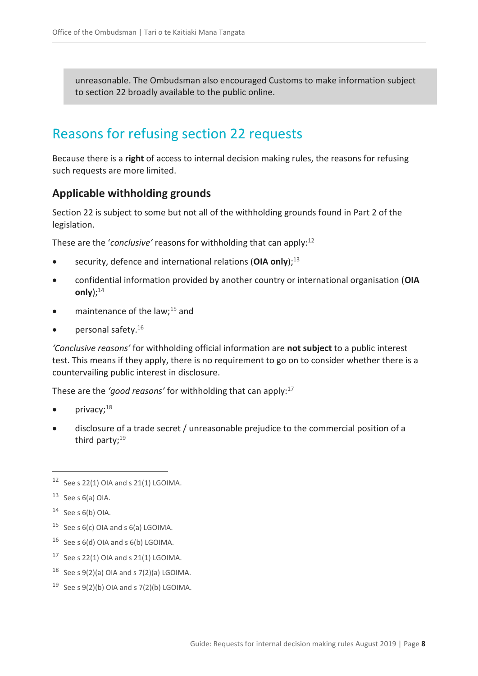unreasonable. The Ombudsman also encouraged Customs to make information subject to section 22 broadly available to the public online.

### <span id="page-7-0"></span>Reasons for refusing section 22 requests

Because there is a **right** of access to internal decision making rules, the reasons for refusing such requests are more limited.

#### <span id="page-7-1"></span>**Applicable withholding grounds**

Section 22 is subject to some but not all of the withholding grounds found in Part 2 of the legislation.

These are the '*conclusive'* reasons for withholding that can apply:<sup>12</sup>

- security, defence and international relations (OIA only):<sup>13</sup>
- confidential information provided by another country or international organisation (**OIA**  only $):$ <sup>14</sup>
- maintenance of the law; $^{15}$  and
- personal safety.<sup>16</sup>

*'Conclusive reasons'* for withholding official information are **not subject** to a public interest test. This means if they apply, there is no requirement to go on to consider whether there is a countervailing public interest in disclosure.

These are the 'good reasons' for withholding that can apply:<sup>17</sup>

- privacy;<sup>18</sup>
- disclosure of a trade secret / unreasonable prejudice to the commercial position of a third party; $19$

- <sup>15</sup> See s  $6(c)$  OIA and s  $6(a)$  LGOIMA.
- <sup>16</sup> See s 6(d) OIA and s 6(b) LGOIMA.
- $17$  See s 22(1) OIA and s 21(1) LGOIMA.
- <sup>18</sup> See s  $9(2)(a)$  OIA and s  $7(2)(a)$  LGOIMA.
- <sup>19</sup> See s  $9(2)(b)$  OIA and s  $7(2)(b)$  LGOIMA.

 $12$  See s 22(1) OIA and s 21(1) LGOIMA.

 $13$  See s 6(a) OIA.

 $14$  See s 6(b) OIA.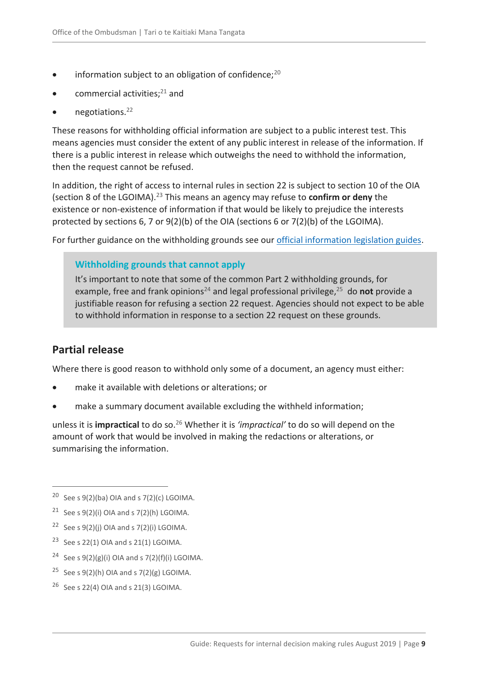- information subject to an obligation of confidence; $^{20}$
- commercial activities;<sup>21</sup> and
- negotiations.<sup>22</sup>

These reasons for withholding official information are subject to a public interest test. This means agencies must consider the extent of any public interest in release of the information. If there is a public interest in release which outweighs the need to withhold the information, then the request cannot be refused.

In addition, the right of access to internal rules in section 22 is subject to section 10 of the OIA (section 8 of the LGOIMA).<sup>23</sup> This means an agency may refuse to **confirm or deny** the existence or non-existence of information if that would be likely to prejudice the interests protected by sections 6, 7 or 9(2)(b) of the OIA (sections 6 or 7(2)(b) of the LGOIMA).

For further guidance on the withholding grounds see our [official information legislation guides.](https://ombudsman.parliament.nz/resources?f%5B0%5D=category%3A2146)

#### **Withholding grounds that cannot apply**

It's important to note that some of the common Part 2 withholding grounds, for example, free and frank opinions<sup>24</sup> and legal professional privilege,<sup>25</sup> do not provide a justifiable reason for refusing a section 22 request. Agencies should not expect to be able to withhold information in response to a section 22 request on these grounds.

### <span id="page-8-0"></span>**Partial release**

 $\overline{a}$ 

Where there is good reason to withhold only some of a document, an agency must either:

- make it available with deletions or alterations; or
- make a summary document available excluding the withheld information;

unless it is **impractical** to do so.<sup>26</sup> Whether it is *'impractical'* to do so will depend on the amount of work that would be involved in making the redactions or alterations, or summarising the information.

- <sup>22</sup> See s  $9(2)(i)$  OIA and s  $7(2)(i)$  LGOIMA.
- <sup>23</sup> See s 22(1) OIA and s 21(1) LGOIMA.
- <sup>24</sup> See s  $9(2)(g)(i)$  OIA and s  $7(2)(f)(i)$  LGOIMA.
- <sup>25</sup> See s  $9(2)(h)$  OIA and s  $7(2)(g)$  LGOIMA.
- $26$  See s 22(4) OIA and s 21(3) LGOIMA.

<sup>&</sup>lt;sup>20</sup> See s  $9(2)(ba)$  OIA and s  $7(2)(c)$  LGOIMA.

<sup>&</sup>lt;sup>21</sup> See s  $9(2)(i)$  OIA and s  $7(2)(h)$  LGOIMA.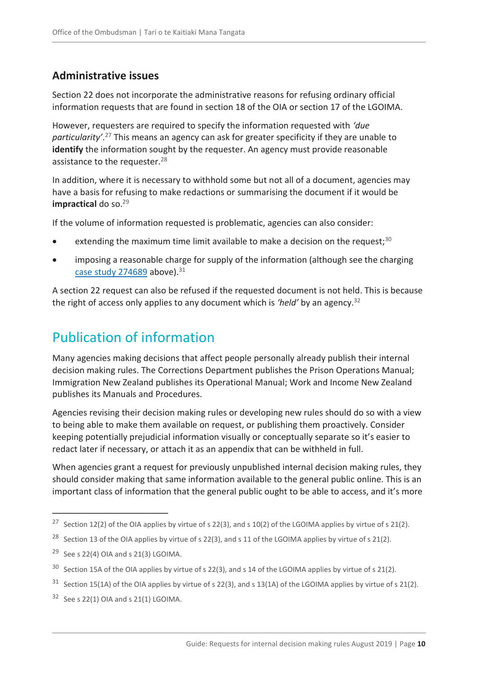### <span id="page-9-0"></span>**Administrative issues**

Section 22 does not incorporate the administrative reasons for refusing ordinary official information requests that are found in section 18 of the OIA or section 17 of the LGOIMA.

However, requesters are required to specify the information requested with *'due particularity'*. <sup>27</sup> This means an agency can ask for greater specificity if they are unable to **identify** the information sought by the requester. An agency must provide reasonable assistance to the requester.<sup>28</sup>

In addition, where it is necessary to withhold some but not all of a document, agencies may have a basis for refusing to make redactions or summarising the document if it would be **impractical** do so.<sup>29</sup>

If the volume of information requested is problematic, agencies can also consider:

- extending the maximum time limit available to make a decision on the request:<sup>30</sup>
- imposing a reasonable charge for supply of the information (although see the charging [case study 274689](#page-6-1) above). $31$

A section 22 request can also be refused if the requested document is not held. This is because the right of access only applies to any document which is *'held'* by an agency.<sup>32</sup>

# <span id="page-9-1"></span>Publication of information

Many agencies making decisions that affect people personally already publish their internal decision making rules. The Corrections Department publishes the Prison Operations Manual; Immigration New Zealand publishes its Operational Manual; Work and Income New Zealand publishes its Manuals and Procedures.

Agencies revising their decision making rules or developing new rules should do so with a view to being able to make them available on request, or publishing them proactively. Consider keeping potentially prejudicial information visually or conceptually separate so it's easier to redact later if necessary, or attach it as an appendix that can be withheld in full.

When agencies grant a request for previously unpublished internal decision making rules, they should consider making that same information available to the general public online. This is an important class of information that the general public ought to be able to access, and it's more

<sup>&</sup>lt;sup>27</sup> Section 12(2) of the OIA applies by virtue of s 22(3), and s 10(2) of the LGOIMA applies by virtue of s 21(2).

<sup>&</sup>lt;sup>28</sup> Section 13 of the OIA applies by virtue of s 22(3), and s 11 of the LGOIMA applies by virtue of s 21(2).

<sup>&</sup>lt;sup>29</sup> See s 22(4) OIA and s 21(3) LGOIMA.

<sup>&</sup>lt;sup>30</sup> Section 15A of the OIA applies by virtue of s 22(3), and s 14 of the LGOIMA applies by virtue of s 21(2).

 $31$  Section 15(1A) of the OIA applies by virtue of s 22(3), and s 13(1A) of the LGOIMA applies by virtue of s 21(2).

 $32$  See s 22(1) OIA and s 21(1) LGOIMA.